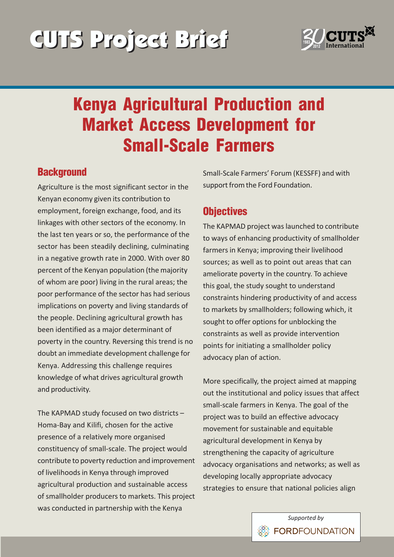# CUTS Project Brief CUTS Project Brief



## Kenya Agricultural Production and Market Access Development for Small-Scale Farmers

#### **Background**

Agriculture is the most significant sector in the Kenyan economy given its contribution to employment, foreign exchange, food, and its linkages with other sectors of the economy. In the last ten years or so, the performance of the sector has been steadily declining, culminating in a negative growth rate in 2000. With over 80 percent of the Kenyan population (the majority of whom are poor) living in the rural areas; the poor performance of the sector has had serious implications on poverty and living standards of the people. Declining agricultural growth has been identified as a major determinant of poverty in the country. Reversing this trend is no doubt an immediate development challenge for Kenya. Addressing this challenge requires knowledge of what drives agricultural growth and productivity.

The KAPMAD study focused on two districts  $-$ Homa-Bay and Kilifi, chosen for the active presence of a relatively more organised constituency of small-scale. The project would contribute to poverty reduction and improvement of livelihoods in Kenya through improved agricultural production and sustainable access of smallholder producers to markets. This project was conducted in partnership with the Kenya

Small-Scale Farmers' Forum (KESSFF) and with support from the Ford Foundation.

#### **Objectives**

The KAPMAD project was launched to contribute to ways of enhancing productivity of smallholder farmers in Kenya; improving their livelihood sources; as well as to point out areas that can ameliorate poverty in the country. To achieve this goal, the study sought to understand constraints hindering productivity of and access to markets by smallholders; following which, it sought to offer options for unblocking the constraints as well as provide intervention points for initiating a smallholder policy advocacy plan of action.

More specifically, the project aimed at mapping out the institutional and policy issues that affect small-scale farmers in Kenya. The goal of the project was to build an effective advocacy movement for sustainable and equitable agricultural development in Kenya by strengthening the capacity of agriculture advocacy organisations and networks; as well as developing locally appropriate advocacy strategies to ensure that national policies align